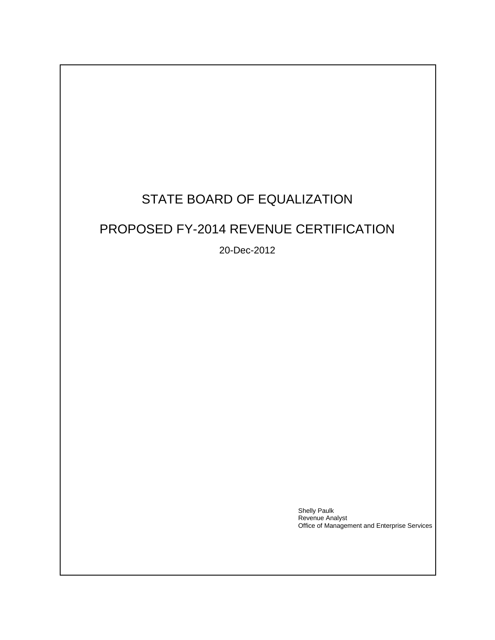# STATE BOARD OF EQUALIZATION

# PROPOSED FY-2014 REVENUE CERTIFICATION

20-Dec-2012

Shelly Paulk Revenue Analyst Office of Management and Enterprise Services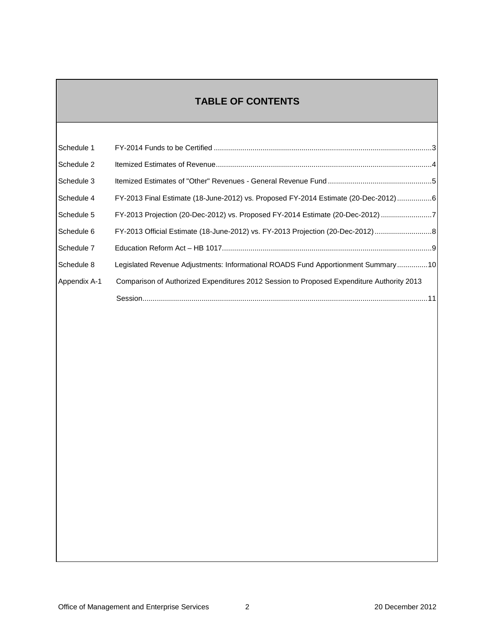# **TABLE OF CONTENTS**

| Schedule 1   |                                                                                           |
|--------------|-------------------------------------------------------------------------------------------|
| Schedule 2   |                                                                                           |
| Schedule 3   |                                                                                           |
| Schedule 4   | FY-2013 Final Estimate (18-June-2012) vs. Proposed FY-2014 Estimate (20-Dec-2012)6        |
| Schedule 5   | FY-2013 Projection (20-Dec-2012) vs. Proposed FY-2014 Estimate (20-Dec-2012) 7            |
| Schedule 6   | FY-2013 Official Estimate (18-June-2012) vs. FY-2013 Projection (20-Dec-2012) 8           |
| Schedule 7   |                                                                                           |
| Schedule 8   | Legislated Revenue Adjustments: Informational ROADS Fund Apportionment Summary 10         |
| Appendix A-1 | Comparison of Authorized Expenditures 2012 Session to Proposed Expenditure Authority 2013 |
|              |                                                                                           |
|              |                                                                                           |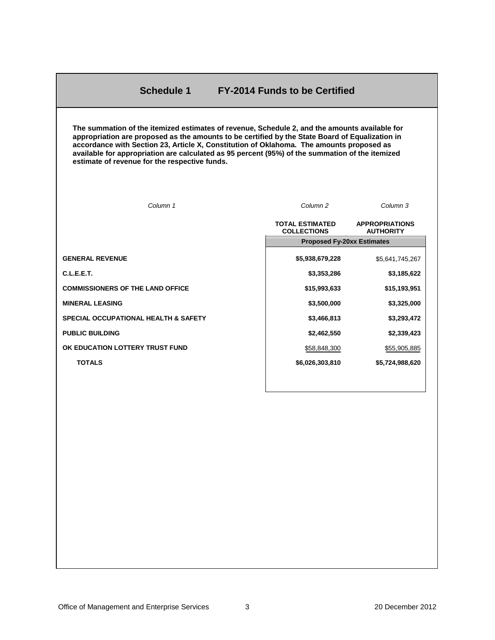### **Schedule 1 FY-2014 Funds to be Certified**

<span id="page-2-0"></span>**The summation of the itemized estimates of revenue, Schedule 2, and the amounts available for appropriation are proposed as the amounts to be certified by the State Board of Equalization in accordance with Section 23, Article X, Constitution of Oklahoma. The amounts proposed as available for appropriation are calculated as 95 percent (95%) of the summation of the itemized estimate of revenue for the respective funds.** 

| Column 1                                        | Column <sub>2</sub>                          | Column 3                                  |
|-------------------------------------------------|----------------------------------------------|-------------------------------------------|
|                                                 | <b>TOTAL ESTIMATED</b><br><b>COLLECTIONS</b> | <b>APPROPRIATIONS</b><br><b>AUTHORITY</b> |
|                                                 | <b>Proposed Fy-20xx Estimates</b>            |                                           |
| <b>GENERAL REVENUE</b>                          | \$5,938,679,228                              | \$5,641,745,267                           |
| C.L.E.E.T.                                      | \$3,353,286                                  | \$3,185,622                               |
| <b>COMMISSIONERS OF THE LAND OFFICE</b>         | \$15,993,633                                 | \$15,193,951                              |
| <b>MINERAL LEASING</b>                          | \$3,500,000                                  | \$3,325,000                               |
| <b>SPECIAL OCCUPATIONAL HEALTH &amp; SAFETY</b> | \$3,466,813                                  | \$3,293,472                               |
| <b>PUBLIC BUILDING</b>                          | \$2,462,550                                  | \$2,339,423                               |
| OK EDUCATION LOTTERY TRUST FUND                 | \$58,848,300                                 | \$55,905,885                              |
| <b>TOTALS</b>                                   | \$6,026,303,810                              | \$5,724,988,620                           |
|                                                 |                                              |                                           |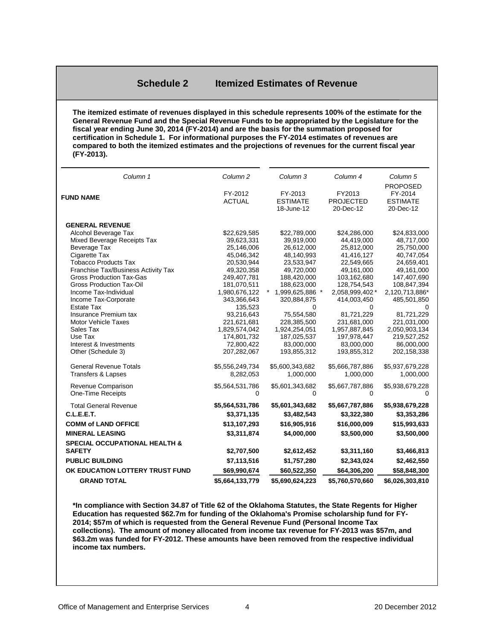#### **Schedule 2 Itemized Estimates of Revenue**

<span id="page-3-0"></span>**The itemized estimate of revenues displayed in this schedule represents 100% of the estimate for the General Revenue Fund and the Special Revenue Funds to be appropriated by the Legislature for the fiscal year ending June 30, 2014 (FY-2014) and are the basis for the summation proposed for certification in Schedule 1. For informational purposes the FY-2014 estimates of revenues are compared to both the itemized estimates and the projections of revenues for the current fiscal year (FY-2013).**

| Column 1                                 | Column <sub>2</sub>       | Column 3                                 | Column 4                                | Column <sub>5</sub>                                        |
|------------------------------------------|---------------------------|------------------------------------------|-----------------------------------------|------------------------------------------------------------|
| <b>FUND NAME</b>                         | FY-2012<br><b>ACTUAL</b>  | FY-2013<br><b>ESTIMATE</b><br>18-June-12 | FY2013<br><b>PROJECTED</b><br>20-Dec-12 | <b>PROPOSED</b><br>FY-2014<br><b>ESTIMATE</b><br>20-Dec-12 |
| <b>GENERAL REVENUE</b>                   |                           |                                          |                                         |                                                            |
| Alcohol Beverage Tax                     | \$22,629,585              | \$22,789,000                             | \$24,286,000                            | \$24,833,000                                               |
| Mixed Beverage Receipts Tax              | 39,623,331                | 39,919,000                               | 44,419,000                              | 48,717,000                                                 |
| Beverage Tax                             | 25,146,006                | 26,612,000                               | 25,812,000                              | 25,750,000                                                 |
| Cigarette Tax                            | 45,046,342                | 48,140,993                               | 41,416,127                              | 40,747,054                                                 |
| <b>Tobacco Products Tax</b>              | 20,530,944                | 23,533,947                               | 22,549,665                              | 24,659,401                                                 |
| Franchise Tax/Business Activity Tax      | 49,320,358                | 49,720,000                               | 49,161,000                              | 49,161,000                                                 |
| <b>Gross Production Tax-Gas</b>          | 249,407,781               | 188,420,000                              | 103,162,680                             | 147,407,690                                                |
| <b>Gross Production Tax-Oil</b>          | 181,070,511               | 188,623,000                              | 128,754,543                             | 108,847,394                                                |
| Income Tax-Individual                    | 1,980,676,122             | 1,999,625,886 *                          | 2,058,999,402 *                         | 2,120,713,886*                                             |
| Income Tax-Corporate                     | 343,366,643               | 320,884,875                              | 414,003,450                             | 485,501,850                                                |
| <b>Estate Tax</b>                        | 135,523                   | 0                                        | 0                                       |                                                            |
| Insurance Premium tax                    | 93,216,643                | 75,554,580                               | 81,721,229                              | 81,721,229                                                 |
| <b>Motor Vehicle Taxes</b>               | 221,621,681               | 228,385,500                              | 231,681,000                             | 221,031,000                                                |
| Sales Tax<br>Use Tax                     | 1,829,574,042             | 1,924,254,051                            | 1,957,887,845                           | 2,050,903,134                                              |
| Interest & Investments                   | 174,801,732<br>72,800,422 | 187,025,537<br>83,000,000                | 197,978,447                             | 219,527,252<br>86,000,000                                  |
| Other (Schedule 3)                       | 207,282,067               | 193,855,312                              | 83,000,000<br>193,855,312               | 202,158,338                                                |
|                                          |                           |                                          |                                         |                                                            |
| <b>General Revenue Totals</b>            | \$5,556,249,734           | \$5,600,343,682                          | \$5,666,787,886                         | \$5,937,679,228                                            |
| <b>Transfers &amp; Lapses</b>            | 8,282,053                 | 1,000,000                                | 1,000,000                               | 1,000,000                                                  |
| Revenue Comparison                       | \$5,564,531,786           | \$5,601,343,682                          | \$5,667,787,886                         | \$5,938,679,228                                            |
| <b>One-Time Receipts</b>                 | 0                         | 0                                        | 0                                       | $\Omega$                                                   |
| <b>Total General Revenue</b>             | \$5,564,531,786           | \$5,601,343,682                          | \$5,667,787,886                         | \$5,938,679,228                                            |
| <b>C.L.E.E.T.</b>                        | \$3,371,135               | \$3,482,543                              | \$3,322,380                             | \$3,353,286                                                |
| <b>COMM of LAND OFFICE</b>               | \$13,107,293              | \$16,905,916                             | \$16,000,009                            | \$15,993,633                                               |
| <b>MINERAL LEASING</b>                   | \$3,311,874               | \$4,000,000                              | \$3,500,000                             | \$3,500,000                                                |
| <b>SPECIAL OCCUPATIONAL HEALTH &amp;</b> |                           |                                          |                                         |                                                            |
| <b>SAFETY</b>                            | \$2,707,500               | \$2,612,452                              | \$3,311,160                             | \$3,466,813                                                |
| <b>PUBLIC BUILDING</b>                   | \$7,113,516               | \$1,757,280                              | \$2,343,024                             | \$2,462,550                                                |
| OK EDUCATION LOTTERY TRUST FUND          | \$69,990,674              | \$60,522,350                             | \$64,306,200                            | \$58,848,300                                               |
| <b>GRAND TOTAL</b>                       | \$5,664,133,779           | \$5,690,624,223                          | \$5,760,570,660                         | \$6,026,303,810                                            |

**\*In compliance with Section 34.87 of Title 62 of the Oklahoma Statutes, the State Regents for Higher Education has requested \$62.7m for funding of the Oklahoma's Promise scholarship fund for FY-2014; \$57m of which is requested from the General Revenue Fund (Personal Income Tax collections). The amount of money allocated from income tax revenue for FY-2013 was \$57m, and \$63.2m was funded for FY-2012. These amounts have been removed from the respective individual income tax numbers.**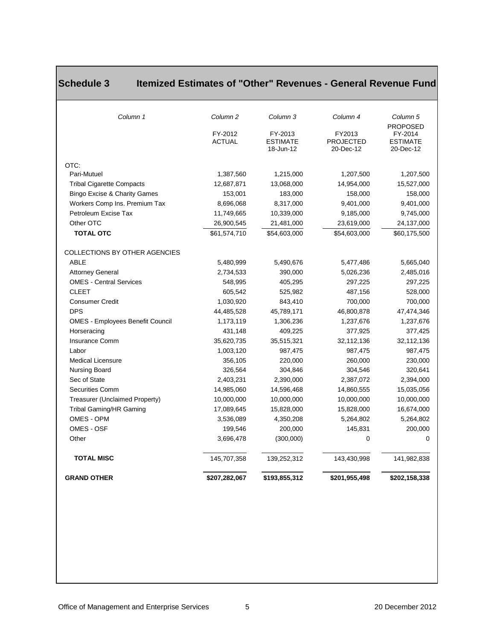| <b>GRAND OTHER</b>                           | \$207,282,067            | \$193,855,312                           | \$201,955,498                           | \$202,158,338                                              |
|----------------------------------------------|--------------------------|-----------------------------------------|-----------------------------------------|------------------------------------------------------------|
| <b>TOTAL MISC</b>                            | 145,707,358              | 139,252,312                             | 143,430,998                             | 141,982,838                                                |
| Other                                        | 3,696,478                | (300,000)                               | $\Omega$                                | $\Omega$                                                   |
| OMES - OSF                                   | 199,546                  | 200,000                                 | 145,831                                 | 200,000                                                    |
| OMES - OPM                                   | 3,536,089                | 4,350,208                               | 5,264,802                               | 5,264,802                                                  |
| Tribal Gaming/HR Gaming                      | 17,089,645               | 15,828,000                              | 15,828,000                              | 16,674,000                                                 |
| Treasurer (Unclaimed Property)               | 10,000,000               | 10,000,000                              | 10,000,000                              | 10,000,000                                                 |
| <b>Securities Comm</b>                       | 14,985,060               | 14,596,468                              | 14,860,555                              | 15,035,056                                                 |
| Sec of State                                 | 2,403,231                | 2,390,000                               | 2,387,072                               | 2,394,000                                                  |
| Nursing Board                                | 326,564                  | 304,846                                 | 304,546                                 | 320,641                                                    |
| <b>Medical Licensure</b>                     | 356,105                  | 220,000                                 | 260,000                                 | 230,000                                                    |
| Labor                                        | 1,003,120                | 987,475                                 | 987,475                                 | 987,475                                                    |
| Insurance Comm                               | 35,620,735               | 35,515,321                              | 32,112,136                              | 32,112,136                                                 |
| Horseracing                                  | 431,148                  | 409,225                                 | 377,925                                 | 377,425                                                    |
| <b>OMES - Employees Benefit Council</b>      | 1,173,119                | 1,306,236                               | 1,237,676                               | 1,237,676                                                  |
| <b>DPS</b>                                   | 44,485,528               | 45,789,171                              | 46,800,878                              | 47,474,346                                                 |
| <b>Consumer Credit</b>                       | 1,030,920                | 843,410                                 | 700,000                                 | 700,000                                                    |
| <b>CLEET</b>                                 | 605,542                  | 525,982                                 | 487,156                                 | 528,000                                                    |
| <b>OMES - Central Services</b>               | 548,995                  | 405,295                                 | 297,225                                 | 297,225                                                    |
| <b>Attorney General</b>                      | 2,734,533                | 390,000                                 | 5,026,236                               | 2,485,016                                                  |
| COLLECTIONS BY OTHER AGENCIES<br><b>ABLE</b> | 5,480,999                | 5,490,676                               | 5,477,486                               | 5,665,040                                                  |
| <b>TOTAL OTC</b>                             | \$61,574,710             | \$54,603,000                            | \$54,603,000                            | \$60,175,500                                               |
| Other OTC                                    | 26,900,545               | 21,481,000                              | 23,619,000                              | 24,137,000                                                 |
| Petroleum Excise Tax                         | 11,749,665               | 10,339,000                              | 9,185,000                               | 9,745,000                                                  |
| Workers Comp Ins. Premium Tax                | 8,696,068                | 8,317,000                               | 9,401,000                               | 9,401,000                                                  |
| Bingo Excise & Charity Games                 | 153,001                  | 183,000                                 | 158,000                                 | 158,000                                                    |
| <b>Tribal Cigarette Compacts</b>             | 12,687,871               | 13,068,000                              | 14,954,000                              | 15,527,000                                                 |
| OTC:<br>Pari-Mutuel                          | 1,387,560                | 1,215,000                               | 1,207,500                               | 1,207,500                                                  |
|                                              | FY-2012<br><b>ACTUAL</b> | FY-2013<br><b>ESTIMATE</b><br>18-Jun-12 | FY2013<br><b>PROJECTED</b><br>20-Dec-12 | <b>PROPOSED</b><br>FY-2014<br><b>ESTIMATE</b><br>20-Dec-12 |
| Column 1                                     | Column <sub>2</sub>      | Column 3                                | Column 4                                | Column 5                                                   |

# <span id="page-4-0"></span>**Schedule 3 Itemized Estimates of "Other" Revenues - General Revenue Fund**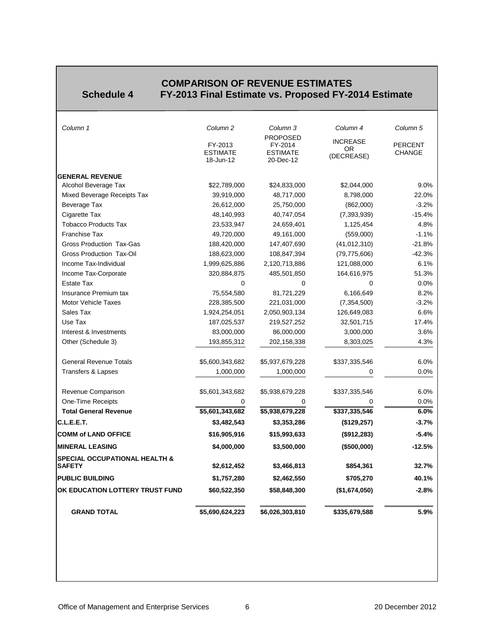<span id="page-5-0"></span>

# **COMPARISON OF REVENUE ESTIMATES Schedule 4 FY-2013 Final Estimate vs. Proposed FY-2014 Estimate**

| Column 1                                                  | Column <sub>2</sub>                     | Column 3                                                   | Column 4                             | Column 5                        |
|-----------------------------------------------------------|-----------------------------------------|------------------------------------------------------------|--------------------------------------|---------------------------------|
|                                                           | FY-2013<br><b>ESTIMATE</b><br>18-Jun-12 | <b>PROPOSED</b><br>FY-2014<br><b>ESTIMATE</b><br>20-Dec-12 | <b>INCREASE</b><br>OR.<br>(DECREASE) | <b>PERCENT</b><br><b>CHANGE</b> |
| <b>GENERAL REVENUE</b>                                    |                                         |                                                            |                                      |                                 |
| Alcohol Beverage Tax                                      | \$22,789,000                            | \$24,833,000                                               | \$2,044,000                          | 9.0%                            |
| Mixed Beverage Receipts Tax                               | 39,919,000                              | 48,717,000                                                 | 8,798,000                            | 22.0%                           |
| Beverage Tax                                              | 26,612,000                              | 25,750,000                                                 | (862,000)                            | $-3.2%$                         |
| Cigarette Tax                                             | 48,140,993                              | 40,747,054                                                 | (7, 393, 939)                        | $-15.4%$                        |
| <b>Tobacco Products Tax</b>                               | 23,533,947                              | 24,659,401                                                 | 1,125,454                            | 4.8%                            |
| <b>Franchise Tax</b>                                      | 49,720,000                              | 49,161,000                                                 | (559,000)                            | $-1.1%$                         |
| Gross Production Tax-Gas                                  | 188,420,000                             | 147,407,690                                                | (41, 012, 310)                       | $-21.8%$                        |
| <b>Gross Production Tax-Oil</b>                           | 188,623,000                             | 108,847,394                                                | (79, 775, 606)                       | $-42.3%$                        |
| Income Tax-Individual                                     | 1,999,625,886                           | 2,120,713,886                                              | 121,088,000                          | 6.1%                            |
| Income Tax-Corporate                                      | 320,884,875                             | 485,501,850                                                | 164,616,975                          | 51.3%                           |
| Estate Tax                                                | $\Omega$                                | $\mathbf{0}$                                               | $\Omega$                             | 0.0%                            |
| Insurance Premium tax                                     | 75,554,580                              | 81,721,229                                                 | 6,166,649                            | 8.2%                            |
| <b>Motor Vehicle Taxes</b>                                | 228,385,500                             | 221,031,000                                                | (7, 354, 500)                        | $-3.2%$                         |
| Sales Tax                                                 | 1,924,254,051                           | 2,050,903,134                                              | 126,649,083                          | 6.6%                            |
| Use Tax                                                   | 187,025,537                             | 219,527,252                                                | 32,501,715                           | 17.4%                           |
| Interest & Investments                                    | 83,000,000                              | 86,000,000                                                 | 3,000,000                            | 3.6%                            |
| Other (Schedule 3)                                        | 193,855,312                             | 202,158,338                                                | 8,303,025                            | 4.3%                            |
| <b>General Revenue Totals</b>                             | \$5,600,343,682                         | \$5,937,679,228                                            | \$337,335,546                        | 6.0%                            |
| <b>Transfers &amp; Lapses</b>                             | 1,000,000                               | 1,000,000                                                  | 0                                    | 0.0%                            |
| Revenue Comparison                                        | \$5,601,343,682                         | \$5,938,679,228                                            | \$337,335,546                        | 6.0%                            |
| One-Time Receipts                                         | $\Omega$                                | 0                                                          | 0                                    | 0.0%                            |
| <b>Total General Revenue</b>                              | \$5,601,343,682                         | \$5,938,679,228                                            | \$337,335,546                        | 6.0%                            |
| C.L.E.E.T.                                                | \$3,482,543                             | \$3,353,286                                                | (\$129,257)                          | $-3.7%$                         |
| <b>COMM of LAND OFFICE</b>                                | \$16,905,916                            | \$15,993,633                                               | (\$912,283)                          | $-5.4%$                         |
| <b>MINERAL LEASING</b>                                    | \$4,000,000                             | \$3,500,000                                                | (\$500,000)                          | $-12.5%$                        |
| <b>SPECIAL OCCUPATIONAL HEALTH &amp;</b><br><b>SAFETY</b> | \$2,612,452                             | \$3,466,813                                                | \$854,361                            | 32.7%                           |
| <b>PUBLIC BUILDING</b>                                    | \$1,757,280                             | \$2,462,550                                                | \$705,270                            | 40.1%                           |
| OK EDUCATION LOTTERY TRUST FUND                           | \$60,522,350                            | \$58,848,300                                               | (\$1,674,050)                        | $-2.8%$                         |
| <b>GRAND TOTAL</b>                                        | \$5,690,624,223                         | \$6,026,303,810                                            | \$335,679,588                        | 5.9%                            |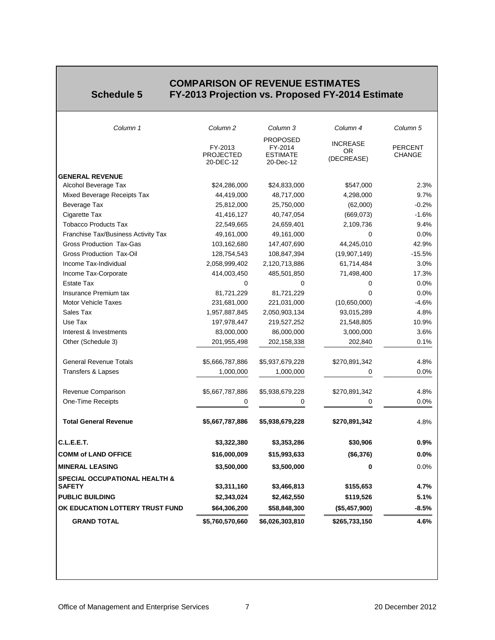### **COMPARISON OF REVENUE ESTIMATES**<br>**Schedule 5** FY-2013 Projection vs. Proposed FY-2014 **Schedule 5 FY-2013 Projection vs. Proposed FY-2014 Estimate**

<span id="page-6-0"></span>

| Column 1                                                  | Column <sub>2</sub>                      | Column 3                                                   | Column 4                             | Column 5                        |
|-----------------------------------------------------------|------------------------------------------|------------------------------------------------------------|--------------------------------------|---------------------------------|
|                                                           | FY-2013<br><b>PROJECTED</b><br>20-DEC-12 | <b>PROPOSED</b><br>FY-2014<br><b>ESTIMATE</b><br>20-Dec-12 | <b>INCREASE</b><br>OR.<br>(DECREASE) | <b>PERCENT</b><br><b>CHANGE</b> |
| <b>GENERAL REVENUE</b>                                    |                                          |                                                            |                                      |                                 |
| Alcohol Beverage Tax                                      | \$24,286,000                             | \$24,833,000                                               | \$547,000                            | 2.3%                            |
| Mixed Beverage Receipts Tax                               | 44,419,000                               | 48,717,000                                                 | 4,298,000                            | 9.7%                            |
| Beverage Tax                                              | 25,812,000                               | 25,750,000                                                 | (62,000)                             | $-0.2%$                         |
| Cigarette Tax                                             | 41,416,127                               | 40,747,054                                                 | (669,073)                            | $-1.6%$                         |
| <b>Tobacco Products Tax</b>                               | 22,549,665                               | 24,659,401                                                 | 2,109,736                            | 9.4%                            |
| Franchise Tax/Business Activity Tax                       | 49,161,000                               | 49,161,000                                                 | $\Omega$                             | 0.0%                            |
| Gross Production Tax-Gas                                  | 103,162,680                              | 147,407,690                                                | 44,245,010                           | 42.9%                           |
| Gross Production Tax-Oil                                  | 128,754,543                              | 108,847,394                                                | (19,907,149)                         | $-15.5%$                        |
| Income Tax-Individual                                     | 2,058,999,402                            | 2,120,713,886                                              | 61,714,484                           | 3.0%                            |
| Income Tax-Corporate                                      | 414,003,450                              | 485,501,850                                                | 71,498,400                           | 17.3%                           |
| <b>Estate Tax</b>                                         | 0                                        | 0                                                          | 0                                    | 0.0%                            |
| Insurance Premium tax                                     | 81,721,229                               | 81,721,229                                                 | 0                                    | 0.0%                            |
| Motor Vehicle Taxes                                       | 231,681,000                              | 221,031,000                                                | (10,650,000)                         | $-4.6%$                         |
| Sales Tax                                                 | 1,957,887,845                            | 2,050,903,134                                              | 93,015,289                           | 4.8%                            |
| Use Tax                                                   | 197,978,447                              | 219,527,252                                                | 21,548,805                           | 10.9%                           |
| Interest & Investments                                    | 83,000,000                               | 86,000,000                                                 | 3,000,000                            | 3.6%                            |
| Other (Schedule 3)                                        | 201,955,498                              | 202,158,338                                                | 202,840                              | 0.1%                            |
| <b>General Revenue Totals</b>                             | \$5,666,787,886                          | \$5,937,679,228                                            | \$270,891,342                        | 4.8%                            |
| Transfers & Lapses                                        | 1,000,000                                | 1,000,000                                                  | 0                                    | 0.0%                            |
| Revenue Comparison                                        | \$5,667,787,886                          | \$5,938,679,228                                            | \$270,891,342                        | 4.8%                            |
| One-Time Receipts                                         | 0                                        | 0                                                          | 0                                    | $0.0\%$                         |
| <b>Total General Revenue</b>                              | \$5,667,787,886                          | \$5,938,679,228                                            | \$270,891,342                        | 4.8%                            |
| C.L.E.E.T.                                                | \$3,322,380                              | \$3,353,286                                                | \$30,906                             | 0.9%                            |
| <b>COMM of LAND OFFICE</b>                                | \$16,000,009                             | \$15,993,633                                               | (\$6,376)                            | 0.0%                            |
| <b>MINERAL LEASING</b>                                    | \$3,500,000                              | \$3,500,000                                                | 0                                    | 0.0%                            |
| <b>SPECIAL OCCUPATIONAL HEALTH &amp;</b><br><b>SAFETY</b> | \$3,311,160                              | \$3,466,813                                                | \$155,653                            | 4.7%                            |
| <b>PUBLIC BUILDING</b>                                    | \$2,343,024                              | \$2,462,550                                                | \$119,526                            | 5.1%                            |
| OK EDUCATION LOTTERY TRUST FUND                           | \$64,306,200                             | \$58,848,300                                               | (\$5,457,900)                        | $-8.5%$                         |
| <b>GRAND TOTAL</b>                                        | \$5,760,570,660                          | \$6,026,303,810                                            | \$265,733,150                        | 4.6%                            |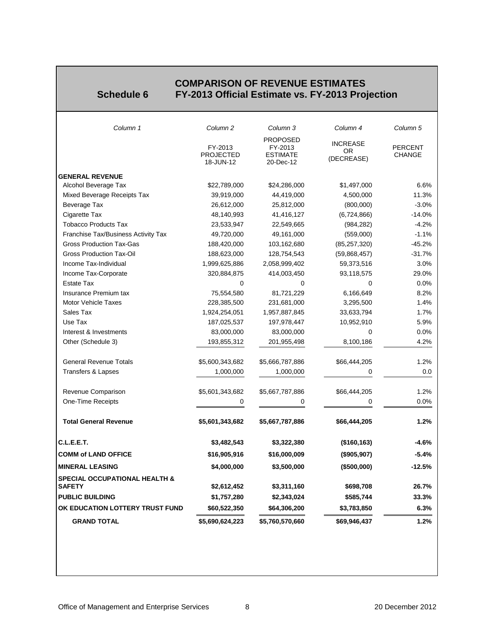#### **EXAMPLE COMPARISON OF REVENUE ESTIMATES Schedule 6 FY-2013 Official Estimate vs. FY-2013 Projection**

<span id="page-7-0"></span>

| Column 1                                                  | Column <sub>2</sub>                      | Column 3                                                   | Column 4                             | Column 5                        |
|-----------------------------------------------------------|------------------------------------------|------------------------------------------------------------|--------------------------------------|---------------------------------|
|                                                           | FY-2013<br><b>PROJECTED</b><br>18-JUN-12 | <b>PROPOSED</b><br>FY-2013<br><b>ESTIMATE</b><br>20-Dec-12 | <b>INCREASE</b><br>OR.<br>(DECREASE) | <b>PERCENT</b><br><b>CHANGE</b> |
| <b>GENERAL REVENUE</b>                                    |                                          |                                                            |                                      |                                 |
| Alcohol Beverage Tax                                      | \$22,789,000                             | \$24,286,000                                               | \$1,497,000                          | 6.6%                            |
| Mixed Beverage Receipts Tax                               | 39,919,000                               | 44,419,000                                                 | 4,500,000                            | 11.3%                           |
| Beverage Tax                                              | 26,612,000                               | 25,812,000                                                 | (800,000)                            | $-3.0%$                         |
| Cigarette Tax                                             | 48,140,993                               | 41,416,127                                                 | (6,724,866)                          | $-14.0%$                        |
| <b>Tobacco Products Tax</b>                               | 23,533,947                               | 22,549,665                                                 | (984, 282)                           | $-4.2%$                         |
| Franchise Tax/Business Activity Tax                       | 49,720,000                               | 49,161,000                                                 | (559,000)                            | $-1.1%$                         |
| <b>Gross Production Tax-Gas</b>                           | 188,420,000                              | 103,162,680                                                | (85, 257, 320)                       | $-45.2%$                        |
| <b>Gross Production Tax-Oil</b>                           | 188,623,000                              | 128,754,543                                                | (59,868,457)                         | $-31.7%$                        |
| Income Tax-Individual                                     | 1,999,625,886                            | 2,058,999,402                                              | 59,373,516                           | 3.0%                            |
| Income Tax-Corporate                                      | 320,884,875                              | 414,003,450                                                | 93,118,575                           | 29.0%                           |
| <b>Estate Tax</b>                                         | $\Omega$                                 | 0                                                          | 0                                    | 0.0%                            |
| Insurance Premium tax                                     | 75,554,580                               | 81,721,229                                                 | 6,166,649                            | 8.2%                            |
| <b>Motor Vehicle Taxes</b>                                | 228,385,500                              | 231,681,000                                                | 3,295,500                            | 1.4%                            |
| Sales Tax                                                 | 1,924,254,051                            | 1,957,887,845                                              | 33,633,794                           | 1.7%                            |
| Use Tax                                                   | 187,025,537                              | 197,978,447                                                | 10,952,910                           | 5.9%                            |
| Interest & Investments                                    | 83,000,000                               | 83,000,000                                                 | 0                                    | 0.0%                            |
| Other (Schedule 3)                                        | 193,855,312                              | 201,955,498                                                | 8,100,186                            | 4.2%                            |
| <b>General Revenue Totals</b>                             | \$5,600,343,682                          | \$5,666,787,886                                            | \$66,444,205                         | 1.2%                            |
| <b>Transfers &amp; Lapses</b>                             | 1,000,000                                | 1,000,000                                                  | 0                                    | 0.0                             |
| Revenue Comparison                                        | \$5,601,343,682                          | \$5,667,787,886                                            | \$66,444,205                         | 1.2%                            |
| <b>One-Time Receipts</b>                                  | 0                                        | 0                                                          | 0                                    | 0.0%                            |
| <b>Total General Revenue</b>                              | \$5,601,343,682                          | \$5,667,787,886                                            | \$66,444,205                         | 1.2%                            |
| C.L.E.E.T.                                                | \$3,482,543                              | \$3,322,380                                                | (\$160, 163)                         | -4.6%                           |
| <b>COMM of LAND OFFICE</b>                                | \$16,905,916                             | \$16,000,009                                               | (\$905,907)                          | $-5.4%$                         |
| <b>MINERAL LEASING</b>                                    | \$4,000,000                              | \$3,500,000                                                | (\$500,000)                          | $-12.5%$                        |
| <b>SPECIAL OCCUPATIONAL HEALTH &amp;</b><br><b>SAFETY</b> | \$2,612,452                              | \$3,311,160                                                | \$698,708                            | 26.7%                           |
| <b>PUBLIC BUILDING</b>                                    | \$1,757,280                              | \$2,343,024                                                | \$585,744                            | 33.3%                           |
| OK EDUCATION LOTTERY TRUST FUND                           | \$60,522,350                             | \$64,306,200                                               | \$3,783,850                          | 6.3%                            |
| <b>GRAND TOTAL</b>                                        | \$5,690,624,223                          | \$5,760,570,660                                            | \$69,946,437                         | 1.2%                            |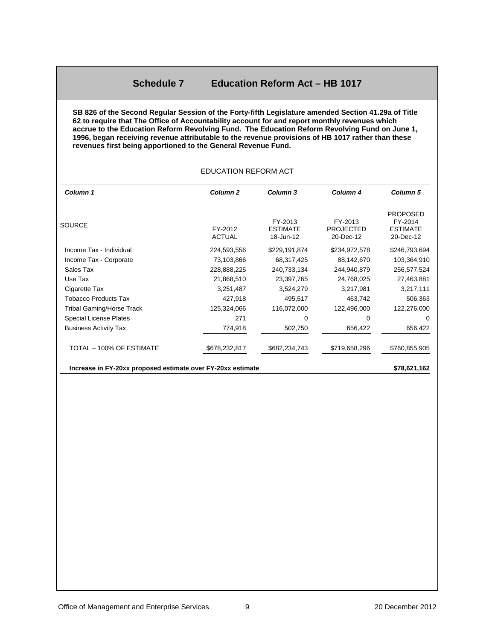#### **Schedule 7 Education Reform Act – HB 1017**

<span id="page-8-0"></span>**SB 826 of the Second Regular Session of the Forty-fifth Legislature amended Section 41.29a of Title 62 to require that The Office of Accountability account for and report monthly revenues which accrue to the Education Reform Revolving Fund. The Education Reform Revolving Fund on June 1, 1996, began receiving revenue attributable to the revenue provisions of HB 1017 rather than these revenues first being apportioned to the General Revenue Fund.**

EDUCATION REFORM ACT

#### *Column 1 Column 2 Column 3 Column 4 Column 5* SOURCE FY-2012 ACTUAL FY-2013 **FSTIMATE** 18-Jun-12 FY-2013 PROJECTED 20-Dec-12 PROPOSED FY-2014 ESTIMATE 20-Dec-12 Income Tax - Individual 224,593,556 \$229,191,874 \$234,972,578 \$246,793,694 Income Tax - Corporate 2001 2003, 2004 73,103,866 68,317,425 88,142,670 103,364,910 Sales Tax 228,888,225 240,733,134 244,940,879 256,577,524 Use Tax 21,868,510 23,397,765 24,768,025 27,463,881 Cigarette Tax **3,251,487** 3,524,279 3,217,981 3,217,111 Tobacco Products Tax 427,918 495,517 463,742 506,363 Tribal Gaming/Horse Track 125,324,066 116,072,000 122,496,000 122,276,000 Special License Plates 271 0 0 0 Business Activity Tax 774,918 502,750 656,422 656,422 TOTAL – 100% OF ESTIMATE \$678,232,817 \$682,234,743 \$719,658,296 \$760,855,905

**Increase in FY-20xx proposed estimate over FY-20xx estimate \$78,621,162** 

#### Office of Management and Enterprise Services 9 20 December 2012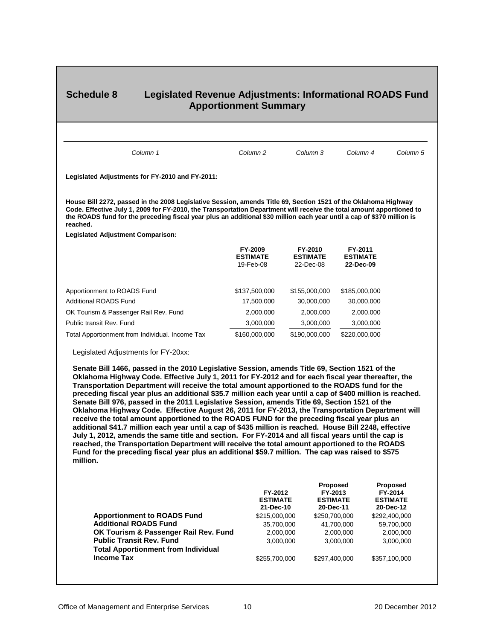# <span id="page-9-0"></span>**Schedule 8 Legislated Revenue Adjustments: Informational ROADS Fund Apportionment Summary**

| Column 1                                                                                                                                                                                                                                                                                                                                                                                                                                                                                                                                                                                                                                                                                                                                                                                                                                                                                                                                                                                                                                                                                                                                                    | Column <sub>2</sub>                                                    | Column 3                                          | Column 4                                | Column 5                                              |
|-------------------------------------------------------------------------------------------------------------------------------------------------------------------------------------------------------------------------------------------------------------------------------------------------------------------------------------------------------------------------------------------------------------------------------------------------------------------------------------------------------------------------------------------------------------------------------------------------------------------------------------------------------------------------------------------------------------------------------------------------------------------------------------------------------------------------------------------------------------------------------------------------------------------------------------------------------------------------------------------------------------------------------------------------------------------------------------------------------------------------------------------------------------|------------------------------------------------------------------------|---------------------------------------------------|-----------------------------------------|-------------------------------------------------------|
| Legislated Adjustments for FY-2010 and FY-2011:                                                                                                                                                                                                                                                                                                                                                                                                                                                                                                                                                                                                                                                                                                                                                                                                                                                                                                                                                                                                                                                                                                             |                                                                        |                                                   |                                         |                                                       |
| House Bill 2272, passed in the 2008 Legislative Session, amends Title 69, Section 1521 of the Oklahoma Highway<br>Code. Effective July 1, 2009 for FY-2010, the Transportation Department will receive the total amount apportioned to<br>the ROADS fund for the preceding fiscal year plus an additional \$30 million each year until a cap of \$370 million is<br>reached.                                                                                                                                                                                                                                                                                                                                                                                                                                                                                                                                                                                                                                                                                                                                                                                |                                                                        |                                                   |                                         |                                                       |
| <b>Legislated Adjustment Comparison:</b>                                                                                                                                                                                                                                                                                                                                                                                                                                                                                                                                                                                                                                                                                                                                                                                                                                                                                                                                                                                                                                                                                                                    |                                                                        |                                                   |                                         |                                                       |
|                                                                                                                                                                                                                                                                                                                                                                                                                                                                                                                                                                                                                                                                                                                                                                                                                                                                                                                                                                                                                                                                                                                                                             | FY-2009<br><b>ESTIMATE</b><br>19-Feb-08                                | FY-2010<br><b>ESTIMATE</b><br>22-Dec-08           | FY-2011<br><b>ESTIMATE</b><br>22-Dec-09 |                                                       |
| Apportionment to ROADS Fund                                                                                                                                                                                                                                                                                                                                                                                                                                                                                                                                                                                                                                                                                                                                                                                                                                                                                                                                                                                                                                                                                                                                 | \$137,500,000                                                          | \$155,000,000                                     | \$185,000,000                           |                                                       |
| <b>Additional ROADS Fund</b>                                                                                                                                                                                                                                                                                                                                                                                                                                                                                                                                                                                                                                                                                                                                                                                                                                                                                                                                                                                                                                                                                                                                | 17,500,000                                                             | 30,000,000                                        | 30,000,000                              |                                                       |
| OK Tourism & Passenger Rail Rev. Fund                                                                                                                                                                                                                                                                                                                                                                                                                                                                                                                                                                                                                                                                                                                                                                                                                                                                                                                                                                                                                                                                                                                       | 2,000,000                                                              | 2,000,000                                         | 2,000,000                               |                                                       |
| Public transit Rev. Fund                                                                                                                                                                                                                                                                                                                                                                                                                                                                                                                                                                                                                                                                                                                                                                                                                                                                                                                                                                                                                                                                                                                                    | 3,000,000                                                              | 3,000,000                                         | 3,000,000                               |                                                       |
| Total Apportionment from Individual. Income Tax                                                                                                                                                                                                                                                                                                                                                                                                                                                                                                                                                                                                                                                                                                                                                                                                                                                                                                                                                                                                                                                                                                             | \$160,000,000                                                          | \$190,000,000                                     | \$220,000,000                           |                                                       |
| Senate Bill 1466, passed in the 2010 Legislative Session, amends Title 69, Section 1521 of the<br>Oklahoma Highway Code. Effective July 1, 2011 for FY-2012 and for each fiscal year thereafter, the<br>Transportation Department will receive the total amount apportioned to the ROADS fund for the<br>preceding fiscal year plus an additional \$35.7 million each year until a cap of \$400 million is reached.<br>Senate Bill 976, passed in the 2011 Legislative Session, amends Title 69, Section 1521 of the<br>Oklahoma Highway Code. Effective August 26, 2011 for FY-2013, the Transportation Department will<br>receive the total amount apportioned to the ROADS FUND for the preceding fiscal year plus an<br>additional \$41.7 million each year until a cap of \$435 million is reached. House Bill 2248, effective<br>July 1, 2012, amends the same title and section. For FY-2014 and all fiscal years until the cap is<br>reached, the Transportation Department will receive the total amount apportioned to the ROADS<br>Fund for the preceding fiscal year plus an additional \$59.7 million. The cap was raised to \$575<br>million. |                                                                        |                                                   |                                         |                                                       |
| <b>Apportionment to ROADS Fund</b><br><b>Additional ROADS Fund</b>                                                                                                                                                                                                                                                                                                                                                                                                                                                                                                                                                                                                                                                                                                                                                                                                                                                                                                                                                                                                                                                                                          | FY-2012<br><b>ESTIMATE</b><br>21-Dec-10<br>\$215,000,000<br>35,700,000 | Proposed<br>FY-2013<br>20-Dec-11<br>\$250,700,000 | <b>ESTIMATE</b><br>41,700,000           | Proposed<br>FY-2014<br><b>ESTIMATE</b><br>20-Dec-12   |
| OK Tourism & Passenger Rail Rev. Fund<br><b>Public Transit Rev. Fund</b><br><b>Total Apportionment from Individual</b>                                                                                                                                                                                                                                                                                                                                                                                                                                                                                                                                                                                                                                                                                                                                                                                                                                                                                                                                                                                                                                      | 2,000,000<br>3,000,000                                                 |                                                   | 2,000,000<br>3,000,000                  | \$292,400,000<br>59,700,000<br>2,000,000<br>3,000,000 |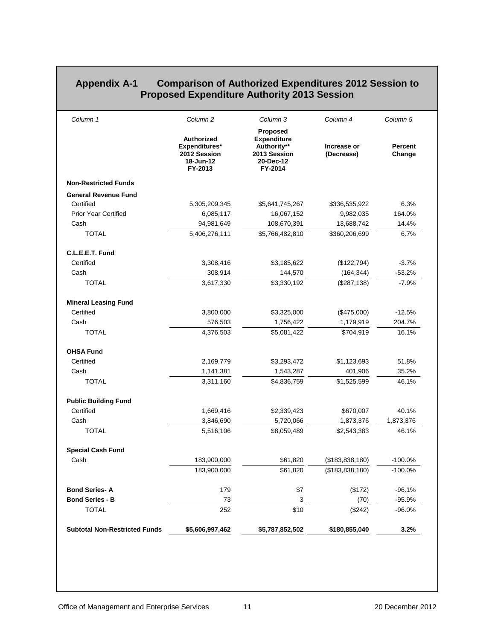## <span id="page-10-0"></span>**Appendix A-1 Comparison of Authorized Expenditures 2012 Session to Proposed Expenditure Authority 2013 Session**

| Column 1                             | Column <sub>2</sub>                                                        | Column 3                                                                              | Column 4                  | Column 5                 |
|--------------------------------------|----------------------------------------------------------------------------|---------------------------------------------------------------------------------------|---------------------------|--------------------------|
|                                      | <b>Authorized</b><br>Expenditures*<br>2012 Session<br>18-Jun-12<br>FY-2013 | Proposed<br><b>Expenditure</b><br>Authority**<br>2013 Session<br>20-Dec-12<br>FY-2014 | Increase or<br>(Decrease) | <b>Percent</b><br>Change |
| <b>Non-Restricted Funds</b>          |                                                                            |                                                                                       |                           |                          |
| <b>General Revenue Fund</b>          |                                                                            |                                                                                       |                           |                          |
| Certified                            | 5,305,209,345                                                              | \$5,641,745,267                                                                       | \$336,535,922             | 6.3%                     |
| <b>Prior Year Certified</b>          | 6,085,117                                                                  | 16,067,152                                                                            | 9,982,035                 | 164.0%                   |
| Cash                                 | 94,981,649                                                                 | 108,670,391                                                                           | 13,688,742                | 14.4%                    |
| <b>TOTAL</b>                         | 5,406,276,111                                                              | \$5,766,482,810                                                                       | \$360,206,699             | 6.7%                     |
| C.L.E.E.T. Fund                      |                                                                            |                                                                                       |                           |                          |
| Certified                            | 3,308,416                                                                  | \$3,185,622                                                                           | (\$122,794)               | $-3.7%$                  |
| Cash                                 | 308,914                                                                    | 144,570                                                                               | (164, 344)                | $-53.2%$                 |
| <b>TOTAL</b>                         | 3,617,330                                                                  | \$3,330,192                                                                           | (\$287, 138)              | $-7.9%$                  |
| <b>Mineral Leasing Fund</b>          |                                                                            |                                                                                       |                           |                          |
| Certified                            | 3,800,000                                                                  | \$3,325,000                                                                           | (\$475,000)               | $-12.5%$                 |
| Cash                                 | 576,503                                                                    | 1,756,422                                                                             | 1,179,919                 | 204.7%                   |
| <b>TOTAL</b>                         | 4,376,503                                                                  | \$5,081,422                                                                           | \$704,919                 | 16.1%                    |
| <b>OHSA Fund</b>                     |                                                                            |                                                                                       |                           |                          |
| Certified                            | 2,169,779                                                                  | \$3,293,472                                                                           | \$1,123,693               | 51.8%                    |
| Cash                                 | 1,141,381                                                                  | 1,543,287                                                                             | 401,906                   | 35.2%                    |
| <b>TOTAL</b>                         | 3,311,160                                                                  | \$4,836,759                                                                           | \$1,525,599               | 46.1%                    |
| <b>Public Building Fund</b>          |                                                                            |                                                                                       |                           |                          |
| Certified                            | 1,669,416                                                                  | \$2,339,423                                                                           | \$670,007                 | 40.1%                    |
| Cash                                 | 3,846,690                                                                  | 5,720,066                                                                             | 1,873,376                 | 1,873,376                |
| <b>TOTAL</b>                         | 5,516,106                                                                  | \$8,059,489                                                                           | \$2,543,383               | 46.1%                    |
| <b>Special Cash Fund</b>             |                                                                            |                                                                                       |                           |                          |
| Cash                                 | 183,900,000                                                                | \$61,820                                                                              | (\$183,838,180)           | $-100.0%$                |
|                                      | 183,900,000                                                                | \$61,820                                                                              | (\$183,838,180)           | $-100.0%$                |
| <b>Bond Series-A</b>                 | 179                                                                        | \$7                                                                                   | (\$172)                   | $-96.1%$                 |
| <b>Bond Series - B</b>               | 73                                                                         | 3                                                                                     | (70)                      | $-95.9%$                 |
| <b>TOTAL</b>                         | 252                                                                        | \$10                                                                                  | (\$242)                   | $-96.0%$                 |
| <b>Subtotal Non-Restricted Funds</b> | \$5,606,997,462                                                            | \$5,787,852,502                                                                       | \$180,855,040             | 3.2%                     |